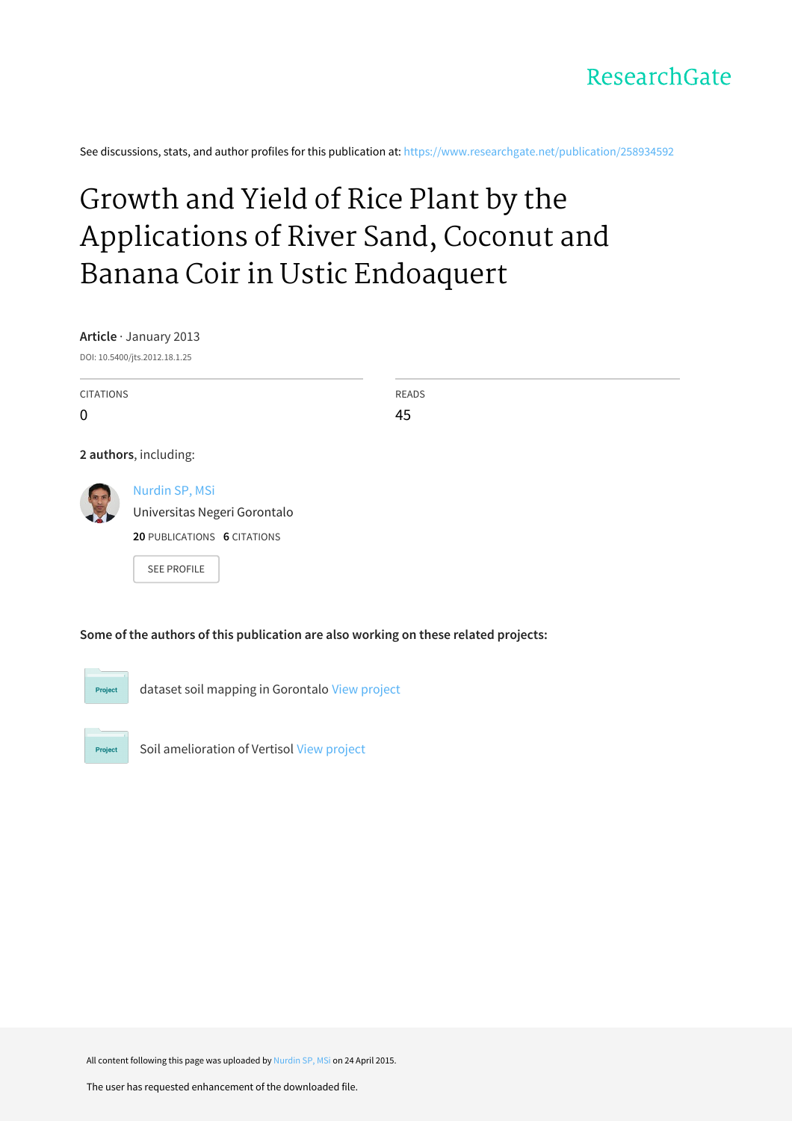

See discussions, stats, and author profiles for this publication at: [https://www.researchgate.net/publication/258934592](https://www.researchgate.net/publication/258934592_Growth_and_Yield_of_Rice_Plant_by_the_Applications_of_River_Sand_Coconut_and_Banana_Coir_in_Ustic_Endoaquert?enrichId=rgreq-f80a8ede9b65b2dc8ce66cbfb594672d-XXX&enrichSource=Y292ZXJQYWdlOzI1ODkzNDU5MjtBUzoyMjE3NzQzMTE2Mjg4MDBAMTQyOTg4NjUyNDEwOQ%3D%3D&el=1_x_2&_esc=publicationCoverPdf)

# Growth and Yield of Rice Plant by the [Applications](https://www.researchgate.net/publication/258934592_Growth_and_Yield_of_Rice_Plant_by_the_Applications_of_River_Sand_Coconut_and_Banana_Coir_in_Ustic_Endoaquert?enrichId=rgreq-f80a8ede9b65b2dc8ce66cbfb594672d-XXX&enrichSource=Y292ZXJQYWdlOzI1ODkzNDU5MjtBUzoyMjE3NzQzMTE2Mjg4MDBAMTQyOTg4NjUyNDEwOQ%3D%3D&el=1_x_3&_esc=publicationCoverPdf) of River Sand, Coconut and Banana Coir in Ustic Endoaquert

**Article** · January 2013

DOI: 10.5400/jts.2012.18.1.25

CITATIONS  $\Omega$ READS 45 **2 authors**, including: [Nurdin](https://www.researchgate.net/profile/Nurdin_Sp_Msi?enrichId=rgreq-f80a8ede9b65b2dc8ce66cbfb594672d-XXX&enrichSource=Y292ZXJQYWdlOzI1ODkzNDU5MjtBUzoyMjE3NzQzMTE2Mjg4MDBAMTQyOTg4NjUyNDEwOQ%3D%3D&el=1_x_5&_esc=publicationCoverPdf) SP, MSi [Universitas](https://www.researchgate.net/institution/Universitas_Negeri_Gorontalo?enrichId=rgreq-f80a8ede9b65b2dc8ce66cbfb594672d-XXX&enrichSource=Y292ZXJQYWdlOzI1ODkzNDU5MjtBUzoyMjE3NzQzMTE2Mjg4MDBAMTQyOTg4NjUyNDEwOQ%3D%3D&el=1_x_6&_esc=publicationCoverPdf) Negeri Gorontalo **20** PUBLICATIONS **6** CITATIONS SEE [PROFILE](https://www.researchgate.net/profile/Nurdin_Sp_Msi?enrichId=rgreq-f80a8ede9b65b2dc8ce66cbfb594672d-XXX&enrichSource=Y292ZXJQYWdlOzI1ODkzNDU5MjtBUzoyMjE3NzQzMTE2Mjg4MDBAMTQyOTg4NjUyNDEwOQ%3D%3D&el=1_x_7&_esc=publicationCoverPdf)

**Some of the authors of this publication are also working on these related projects:**

dataset soil mapping in Gorontalo View [project](https://www.researchgate.net/project/dataset-soil-mapping-in-Gorontalo?enrichId=rgreq-f80a8ede9b65b2dc8ce66cbfb594672d-XXX&enrichSource=Y292ZXJQYWdlOzI1ODkzNDU5MjtBUzoyMjE3NzQzMTE2Mjg4MDBAMTQyOTg4NjUyNDEwOQ%3D%3D&el=1_x_9&_esc=publicationCoverPdf)

Project

Project

Soil amelioration of Vertisol View [project](https://www.researchgate.net/project/Soil-amelioration-of-Vertisol?enrichId=rgreq-f80a8ede9b65b2dc8ce66cbfb594672d-XXX&enrichSource=Y292ZXJQYWdlOzI1ODkzNDU5MjtBUzoyMjE3NzQzMTE2Mjg4MDBAMTQyOTg4NjUyNDEwOQ%3D%3D&el=1_x_9&_esc=publicationCoverPdf)

All content following this page was uploaded by [Nurdin](https://www.researchgate.net/profile/Nurdin_Sp_Msi?enrichId=rgreq-f80a8ede9b65b2dc8ce66cbfb594672d-XXX&enrichSource=Y292ZXJQYWdlOzI1ODkzNDU5MjtBUzoyMjE3NzQzMTE2Mjg4MDBAMTQyOTg4NjUyNDEwOQ%3D%3D&el=1_x_10&_esc=publicationCoverPdf) SP, MSi on 24 April 2015.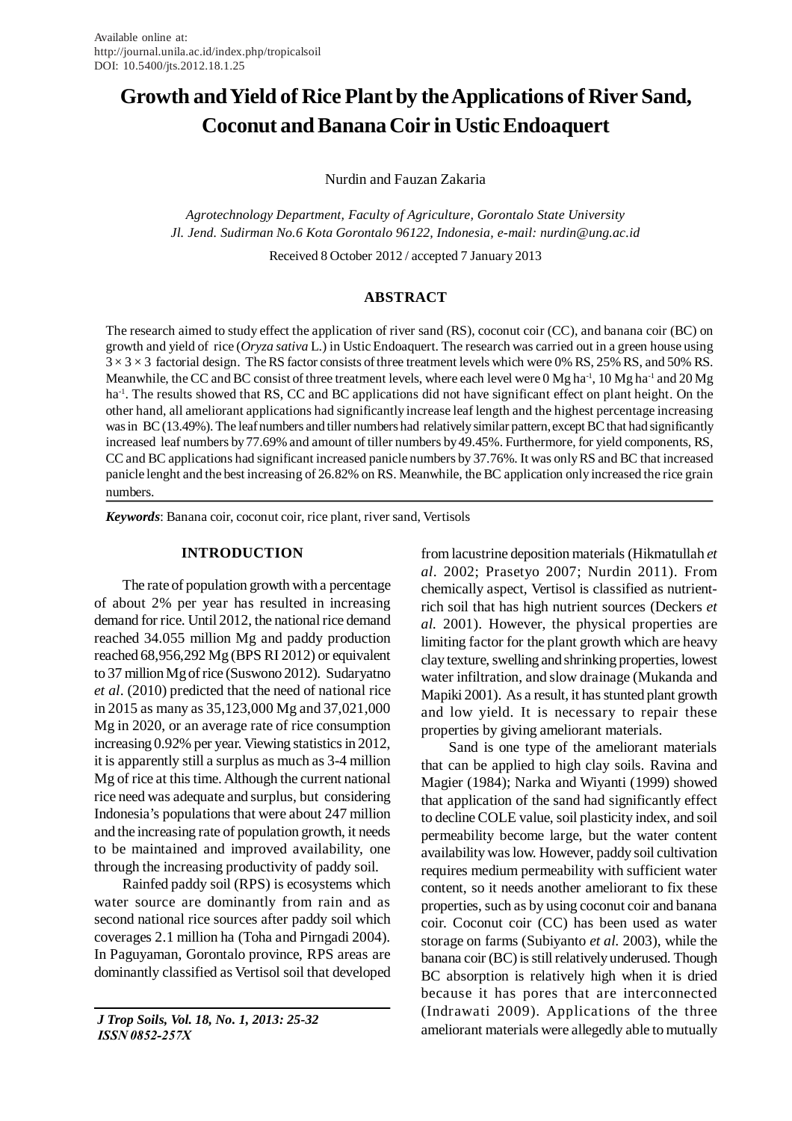# **Growth and Yield of Rice Plant by the Applications of River Sand, Coconut and Banana Coir in Ustic Endoaquert**

Nurdin and Fauzan Zakaria

*Agrotechnology Department, Faculty of Agriculture, Gorontalo State University Jl. Jend. Sudirman No.6 Kota Gorontalo 96122, Indonesia, e-mail: nurdin@ung.ac.id*

Received 8 October 2012 / accepted 7 January 2013

#### **ABSTRACT**

The research aimed to study effect the application of river sand (RS), coconut coir (CC), and banana coir (BC) on growth and yield of rice (*Oryza sativa* L.) in Ustic Endoaquert. The research was carried out in a green house using  $3 \times 3 \times 3$  factorial design. The RS factor consists of three treatment levels which were 0% RS, 25% RS, and 50% RS. Meanwhile, the CC and BC consist of three treatment levels, where each level were 0 Mg ha<sup>-1</sup>, 10 Mg ha<sup>-1</sup> and 20 Mg ha<sup>-1</sup>. The results showed that RS, CC and BC applications did not have significant effect on plant height. On the other hand, all ameliorant applications had significantly increase leaf length and the highest percentage increasing was in BC (13.49%). The leaf numbers and tiller numbers had relatively similar pattern, except BC that had significantly increased leaf numbers by 77.69% and amount of tiller numbers by 49.45%. Furthermore, for yield components, RS, CC and BC applications had significant increased panicle numbers by 37.76%. It was only RS and BC that increased panicle lenght and the best increasing of 26.82% on RS. Meanwhile, the BC application only increased the rice grain numbers.

*Keywords*: Banana coir, coconut coir, rice plant, river sand, Vertisols

#### **INTRODUCTION**

The rate of population growth with a percentage of about 2% per year has resulted in increasing demand for rice. Until 2012, the national rice demand reached 34.055 million Mg and paddy production reached 68,956,292 Mg (BPS RI 2012) or equivalent to 37 million Mg of rice (Suswono 2012). Sudaryatno *et al*. (2010) predicted that the need of national rice in 2015 as many as 35,123,000 Mg and 37,021,000 Mg in 2020, or an average rate of rice consumption increasing 0.92% per year. Viewing statistics in 2012, it is apparently still a surplus as much as 3-4 million Mg of rice at this time. Although the current national rice need was adequate and surplus, but considering Indonesia's populations that were about 247 million and the increasing rate of population growth, it needs to be maintained and improved availability, one through the increasing productivity of paddy soil.

Rainfed paddy soil (RPS) is ecosystems which water source are dominantly from rain and as second national rice sources after paddy soil which coverages 2.1 million ha (Toha and Pirngadi 2004). In Paguyaman, Gorontalo province, RPS areas are dominantly classified as Vertisol soil that developed

 *J Trop Soils, Vol. 18, No. 1, 2013: 25-32 ISSN 0852-257X*

from lacustrine deposition materials (Hikmatullah *et al*. 2002; Prasetyo 2007; Nurdin 2011). From chemically aspect, Vertisol is classified as nutrientrich soil that has high nutrient sources (Deckers *et al.* 2001). However, the physical properties are limiting factor for the plant growth which are heavy clay texture, swelling and shrinking properties, lowest water infiltration, and slow drainage (Mukanda and Mapiki 2001). As a result, it has stunted plant growth and low yield. It is necessary to repair these properties by giving ameliorant materials.

Sand is one type of the ameliorant materials that can be applied to high clay soils. Ravina and Magier (1984); Narka and Wiyanti (1999) showed that application of the sand had significantly effect to decline COLE value, soil plasticity index, and soil permeability become large, but the water content availability was low. However, paddy soil cultivation requires medium permeability with sufficient water content, so it needs another ameliorant to fix these properties, such as by using coconut coir and banana coir. Coconut coir (CC) has been used as water storage on farms (Subiyanto *et al.* 2003), while the banana coir (BC) is still relatively underused. Though BC absorption is relatively high when it is dried because it has pores that are interconnected (Indrawati 2009). Applications of the three ameliorant materials were allegedly able to mutually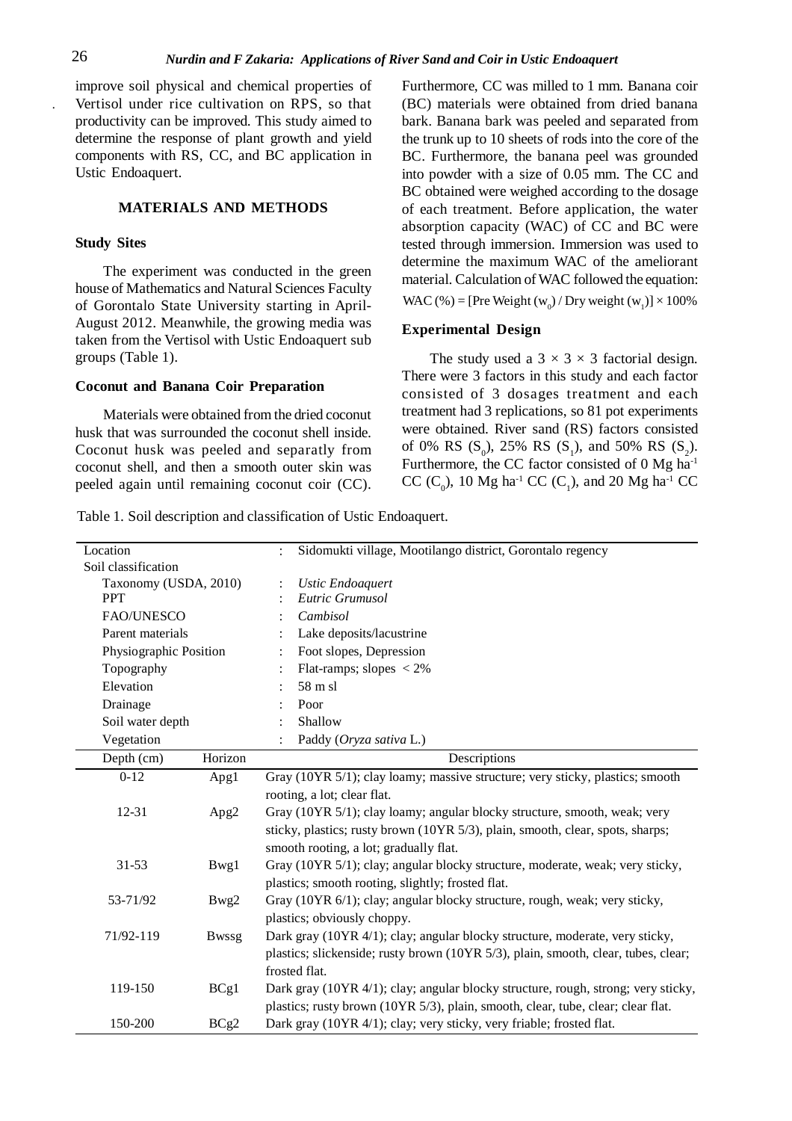improve soil physical and chemical properties of Vertisol under rice cultivation on RPS, so that productivity can be improved. This study aimed to determine the response of plant growth and yield components with RS, CC, and BC application in Ustic Endoaquert.

# **MATERIALS AND METHODS**

#### **Study Sites**

The experiment was conducted in the green house of Mathematics and Natural Sciences Faculty of Gorontalo State University starting in April-August 2012. Meanwhile, the growing media was taken from the Vertisol with Ustic Endoaquert sub groups (Table 1).

### **Coconut and Banana Coir Preparation**

Materials were obtained from the dried coconut husk that was surrounded the coconut shell inside. Coconut husk was peeled and separatly from coconut shell, and then a smooth outer skin was peeled again until remaining coconut coir (CC). Furthermore, CC was milled to 1 mm. Banana coir (BC) materials were obtained from dried banana bark. Banana bark was peeled and separated from the trunk up to 10 sheets of rods into the core of the BC. Furthermore, the banana peel was grounded into powder with a size of 0.05 mm. The CC and BC obtained were weighed according to the dosage of each treatment. Before application, the water absorption capacity (WAC) of CC and BC were tested through immersion. Immersion was used to determine the maximum WAC of the ameliorant material. Calculation of WAC followed the equation: WAC (%) = [Pre Weight ( $w_0$ ) / Dry weight ( $w_1$ )] × 100%

# **Experimental Design**

The study used a  $3 \times 3 \times 3$  factorial design. There were 3 factors in this study and each factor consisted of 3 dosages treatment and each treatment had 3 replications, so 81 pot experiments were obtained. River sand (RS) factors consisted of 0% RS  $(S_0)$ , 25% RS  $(S_1)$ , and 50% RS  $(S_2)$ . Furthermore, the CC factor consisted of 0 Mg ha-1 CC (C<sub>0</sub>), 10 Mg ha<sup>-1</sup> CC (C<sub>1</sub>), and 20 Mg ha<sup>-1</sup> CC

Table 1. Soil description and classification of Ustic Endoaquert.

| Location                  |         | Sidomukti village, Mootilango district, Gorontalo regency<br>÷                     |  |  |
|---------------------------|---------|------------------------------------------------------------------------------------|--|--|
| Soil classification       |         |                                                                                    |  |  |
| Taxonomy (USDA, 2010)     |         | <b>Ustic Endoaquert</b>                                                            |  |  |
| <b>PPT</b>                |         | Eutric Grumusol                                                                    |  |  |
| FAO/UNESCO                |         | Cambisol                                                                           |  |  |
| Parent materials          |         | Lake deposits/lacustrine                                                           |  |  |
| Physiographic Position    |         | Foot slopes, Depression                                                            |  |  |
| Topography                |         | Flat-ramps; slopes $\langle 2\%$                                                   |  |  |
| Elevation                 |         | 58 m sl                                                                            |  |  |
| Drainage                  |         | Poor                                                                               |  |  |
| Soil water depth          |         | Shallow                                                                            |  |  |
| Vegetation                |         | Paddy (Oryza sativa L.)                                                            |  |  |
| Depth (cm)                | Horizon | Descriptions                                                                       |  |  |
| $0 - 12$                  | Apg1    | Gray (10YR 5/1); clay loamy; massive structure; very sticky, plastics; smooth      |  |  |
|                           |         | rooting, a lot; clear flat.                                                        |  |  |
| 12-31                     | Apg2    | Gray (10YR 5/1); clay loamy; angular blocky structure, smooth, weak; very          |  |  |
|                           |         | sticky, plastics; rusty brown (10YR 5/3), plain, smooth, clear, spots, sharps;     |  |  |
|                           |         | smooth rooting, a lot; gradually flat.                                             |  |  |
| $31 - 53$                 | Bwg1    | Gray (10YR 5/1); clay; angular blocky structure, moderate, weak; very sticky,      |  |  |
|                           |         | plastics; smooth rooting, slightly; frosted flat.                                  |  |  |
| 53-71/92<br>Bwg2          |         | Gray (10YR 6/1); clay; angular blocky structure, rough, weak; very sticky,         |  |  |
|                           |         | plastics; obviously choppy.                                                        |  |  |
| 71/92-119<br><b>Bwssg</b> |         | Dark gray (10YR 4/1); clay; angular blocky structure, moderate, very sticky,       |  |  |
|                           |         | plastics; slickenside; rusty brown (10YR 5/3), plain, smooth, clear, tubes, clear; |  |  |
|                           |         | frosted flat.                                                                      |  |  |
| 119-150                   | BCg1    | Dark gray (10YR 4/1); clay; angular blocky structure, rough, strong; very sticky,  |  |  |
|                           |         | plastics; rusty brown (10YR 5/3), plain, smooth, clear, tube, clear; clear flat.   |  |  |
| 150-200                   | BCg2    | Dark gray (10YR 4/1); clay; very sticky, very friable; frosted flat.               |  |  |
|                           |         |                                                                                    |  |  |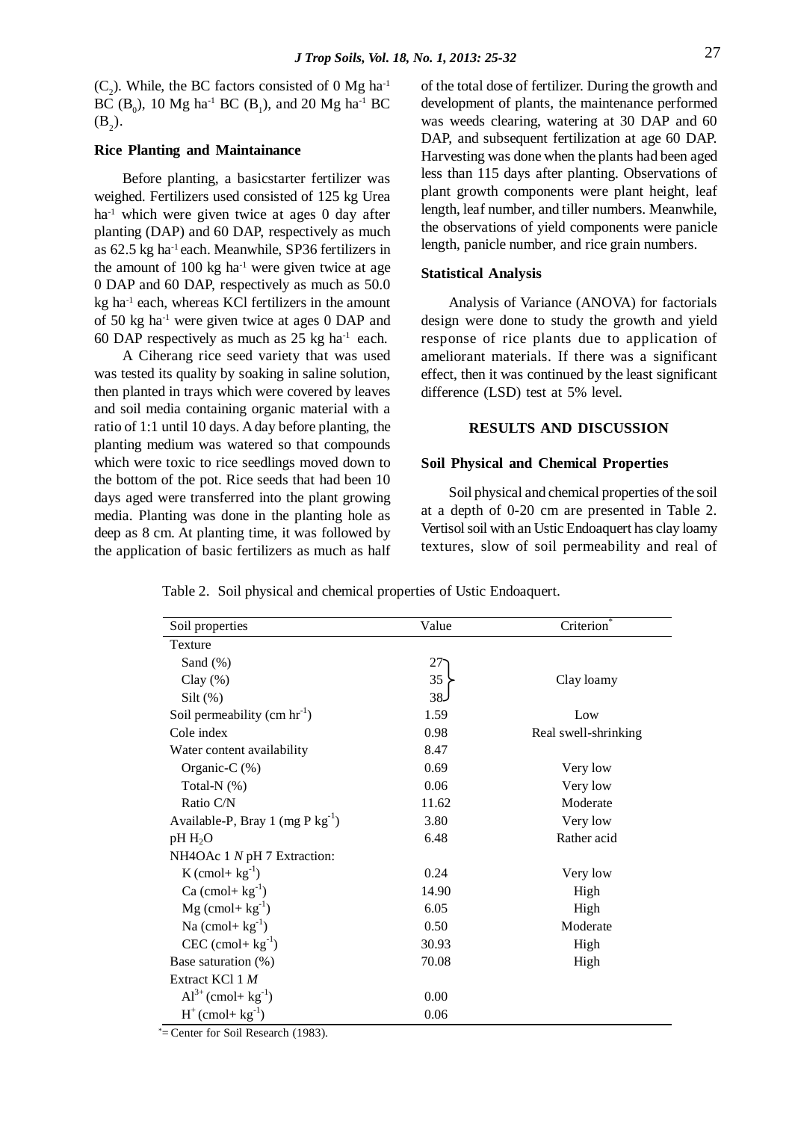$(C_2)$ . While, the BC factors consisted of 0 Mg ha<sup>-1</sup> BC ( $B_0$ ), 10 Mg ha<sup>-1</sup> BC ( $B_1$ ), and 20 Mg ha<sup>-1</sup> BC  $(B_2)$ .

#### **Rice Planting and Maintainance**

Before planting, a basicstarter fertilizer was weighed. Fertilizers used consisted of 125 kg Urea ha<sup>-1</sup> which were given twice at ages 0 day after planting (DAP) and 60 DAP, respectively as much as 62.5 kg ha-1 each. Meanwhile, SP36 fertilizers in the amount of  $100 \text{ kg}$  ha<sup>-1</sup> were given twice at age 0 DAP and 60 DAP, respectively as much as 50.0 kg ha<sup>-1</sup> each, whereas KCl fertilizers in the amount of 50 kg ha-1 were given twice at ages 0 DAP and 60 DAP respectively as much as  $25 \text{ kg} \text{ ha}^{-1}$  each.

A Ciherang rice seed variety that was used was tested its quality by soaking in saline solution, then planted in trays which were covered by leaves and soil media containing organic material with a ratio of 1:1 until 10 days. A day before planting, the planting medium was watered so that compounds which were toxic to rice seedlings moved down to the bottom of the pot. Rice seeds that had been 10 days aged were transferred into the plant growing media. Planting was done in the planting hole as deep as 8 cm. At planting time, it was followed by the application of basic fertilizers as much as half of the total dose of fertilizer. During the growth and development of plants, the maintenance performed was weeds clearing, watering at 30 DAP and 60 DAP, and subsequent fertilization at age 60 DAP. Harvesting was done when the plants had been aged less than 115 days after planting. Observations of plant growth components were plant height, leaf length, leaf number, and tiller numbers. Meanwhile, the observations of yield components were panicle length, panicle number, and rice grain numbers.

#### **Statistical Analysis**

Analysis of Variance (ANOVA) for factorials design were done to study the growth and yield response of rice plants due to application of ameliorant materials. If there was a significant effect, then it was continued by the least significant difference (LSD) test at 5% level.

# **RESULTS AND DISCUSSION**

#### **Soil Physical and Chemical Properties**

Soil physical and chemical properties of the soil at a depth of 0-20 cm are presented in Table 2. Vertisol soil with an Ustic Endoaquert has clay loamy textures, slow of soil permeability and real of

Table 2. Soil physical and chemical properties of Ustic Endoaquert.

| Soil properties                          | Value           | Criterion <sup>®</sup> |  |
|------------------------------------------|-----------------|------------------------|--|
| Texture                                  |                 |                        |  |
| Sand $(\%)$                              | $27 -$          |                        |  |
| Clay $(\%)$                              | 35              | Clay loamy             |  |
| Silt $(\%)$                              | 38 <sub>2</sub> |                        |  |
| Soil permeability (cm $\text{hr}^{-1}$ ) | 1.59            | Low                    |  |
| Cole index                               | 0.98            | Real swell-shrinking   |  |
| Water content availability               | 8.47            |                        |  |
| Organic-C $(\%)$                         | 0.69            | Very low               |  |
| Total-N $(%)$                            | 0.06            | Very low               |  |
| Ratio C/N                                | 11.62           | Moderate               |  |
| Available-P, Bray 1 (mg P $kg^{-1}$ )    | 3.80            | Very low               |  |
| $pH H_2O$                                | 6.48            | Rather acid            |  |
| NH4OAc 1 N pH 7 Extraction:              |                 |                        |  |
| $K$ (cmol+ $kg^{-1}$ )                   | 0.24            | Very low               |  |
| Ca $(\text{cmol} + \text{kg}^{-1})$      | 14.90           | High                   |  |
| $Mg$ (cmol+ $kg^{-1}$ )                  | 6.05            | High                   |  |
| Na $(\text{cmol} + \text{kg}^{-1})$      | 0.50            | Moderate               |  |
| $CEC$ (cmol+ $kg^{-1}$ )                 | 30.93           | High                   |  |
| Base saturation (%)                      | 70.08           | High                   |  |
| Extract KCl $1 M$                        |                 |                        |  |
| $Al^{3+}$ (cmol+ kg <sup>-1</sup> )      | 0.00            |                        |  |
| $H^+(cmol+kg^{-1})$                      | 0.06            |                        |  |

\*= Center for Soil Research (1983).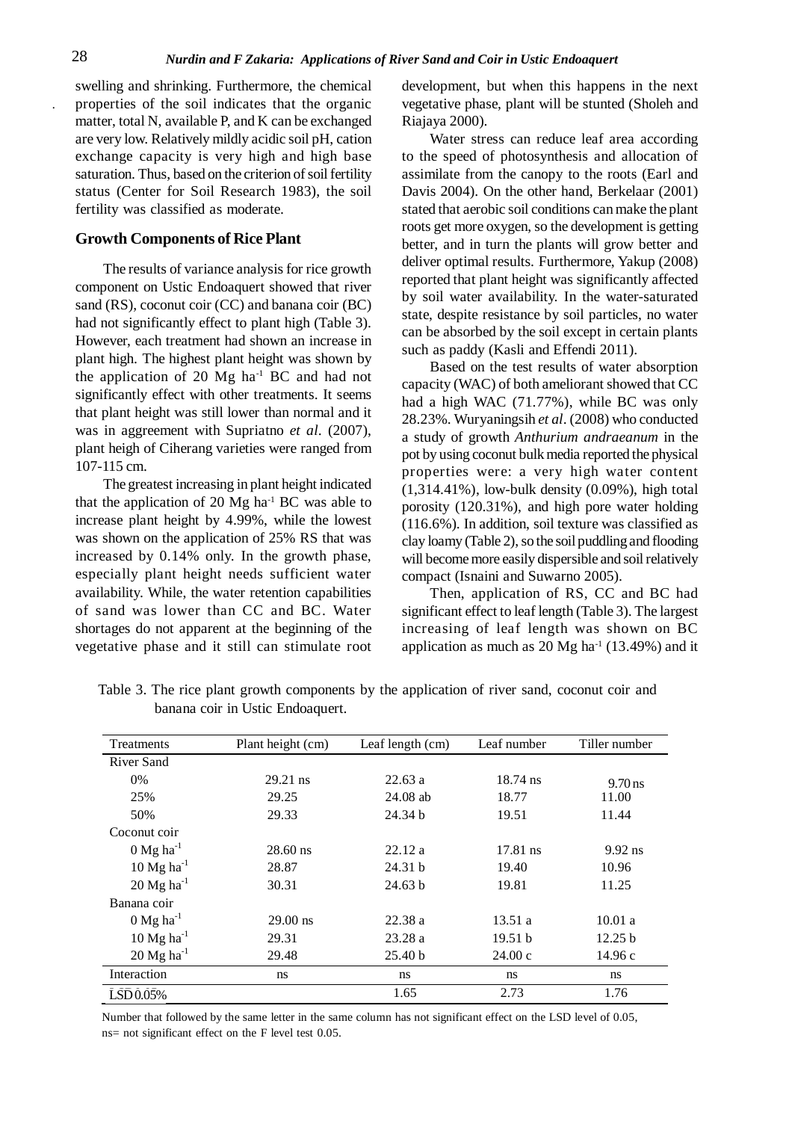swelling and shrinking. Furthermore, the chemical properties of the soil indicates that the organic matter, total N, available P, and K can be exchanged are very low. Relatively mildly acidic soil pH, cation exchange capacity is very high and high base saturation. Thus, based on the criterion of soil fertility status (Center for Soil Research 1983), the soil fertility was classified as moderate.

#### **Growth Components of Rice Plant**

The results of variance analysis for rice growth component on Ustic Endoaquert showed that river sand (RS), coconut coir (CC) and banana coir (BC) had not significantly effect to plant high (Table 3). However, each treatment had shown an increase in plant high. The highest plant height was shown by the application of 20  $Mg$  ha<sup>-1</sup> BC and had not significantly effect with other treatments. It seems that plant height was still lower than normal and it was in aggreement with Supriatno *et al*. (2007), plant heigh of Ciherang varieties were ranged from 107-115 cm.

The greatest increasing in plant height indicated that the application of 20  $Mg$  ha<sup>-1</sup> BC was able to increase plant height by 4.99%, while the lowest was shown on the application of 25% RS that was increased by 0.14% only. In the growth phase, especially plant height needs sufficient water availability. While, the water retention capabilities of sand was lower than CC and BC. Water shortages do not apparent at the beginning of the vegetative phase and it still can stimulate root

development, but when this happens in the next vegetative phase, plant will be stunted (Sholeh and Riajaya 2000).

Water stress can reduce leaf area according to the speed of photosynthesis and allocation of assimilate from the canopy to the roots (Earl and Davis 2004). On the other hand, Berkelaar (2001) stated that aerobic soil conditions can make the plant roots get more oxygen, so the development is getting better, and in turn the plants will grow better and deliver optimal results. Furthermore, Yakup (2008) reported that plant height was significantly affected by soil water availability. In the water-saturated state, despite resistance by soil particles, no water can be absorbed by the soil except in certain plants such as paddy (Kasli and Effendi 2011).

Based on the test results of water absorption capacity (WAC) of both ameliorant showed that CC had a high WAC (71.77%), while BC was only 28.23%. Wuryaningsih *et al*. (2008) who conducted a study of growth *Anthurium andraeanum* in the pot by using coconut bulk media reported the physical properties were: a very high water content (1,314.41%), low-bulk density (0.09%), high total porosity (120.31%), and high pore water holding (116.6%). In addition, soil texture was classified as clay loamy (Table 2), so the soil puddling and flooding will become more easily dispersible and soil relatively compact (Isnaini and Suwarno 2005).

Then, application of RS, CC and BC had significant effect to leaf length (Table 3). The largest increasing of leaf length was shown on BC application as much as  $20$  Mg ha<sup>-1</sup> (13.49%) and it

| Treatments               | Plant height (cm) | Leaf length (cm) | Leaf number | Tiller number |
|--------------------------|-------------------|------------------|-------------|---------------|
| <b>River Sand</b>        |                   |                  |             |               |
| $0\%$                    | $29.21$ ns        | 22.63a           | $18.74$ ns  | $9.70$ ns     |
| 25%                      | 29.25             | $24.08$ ab       | 18.77       | 11.00         |
| 50%                      | 29.33             | 24.34 b          | 19.51       | 11.44         |
| Coconut coir             |                   |                  |             |               |
| $0$ Mg ha <sup>-1</sup>  | $28.60$ ns        | 22.12a           | 17.81 ns    | $9.92$ ns     |
| $10$ Mg ha <sup>-1</sup> | 28.87             | 24.31 b          | 19.40       | 10.96         |
| $20$ Mg ha <sup>-1</sup> | 30.31             | 24.63 b          | 19.81       | 11.25         |
| Banana coir              |                   |                  |             |               |
| $0$ Mg ha <sup>-1</sup>  | $29.00$ ns        | 22.38a           | 13.51a      | 10.01 a       |
| $10$ Mg ha <sup>-1</sup> | 29.31             | 23.28a           | 19.51 b     | 12.25 b       |
| $20$ Mg ha <sup>-1</sup> | 29.48             | 25.40 b          | 24.00c      | 14.96c        |
| Interaction              | ns                | ns               | ns          | ns            |
| LSD0.05%                 |                   | 1.65             | 2.73        | 1.76          |

Table 3. The rice plant growth components by the application of river sand, coconut coir and banana coir in Ustic Endoaquert.

Number that followed by the same letter in the same column has not significant effect on the LSD level of 0.05, ns= not significant effect on the F level test 0.05.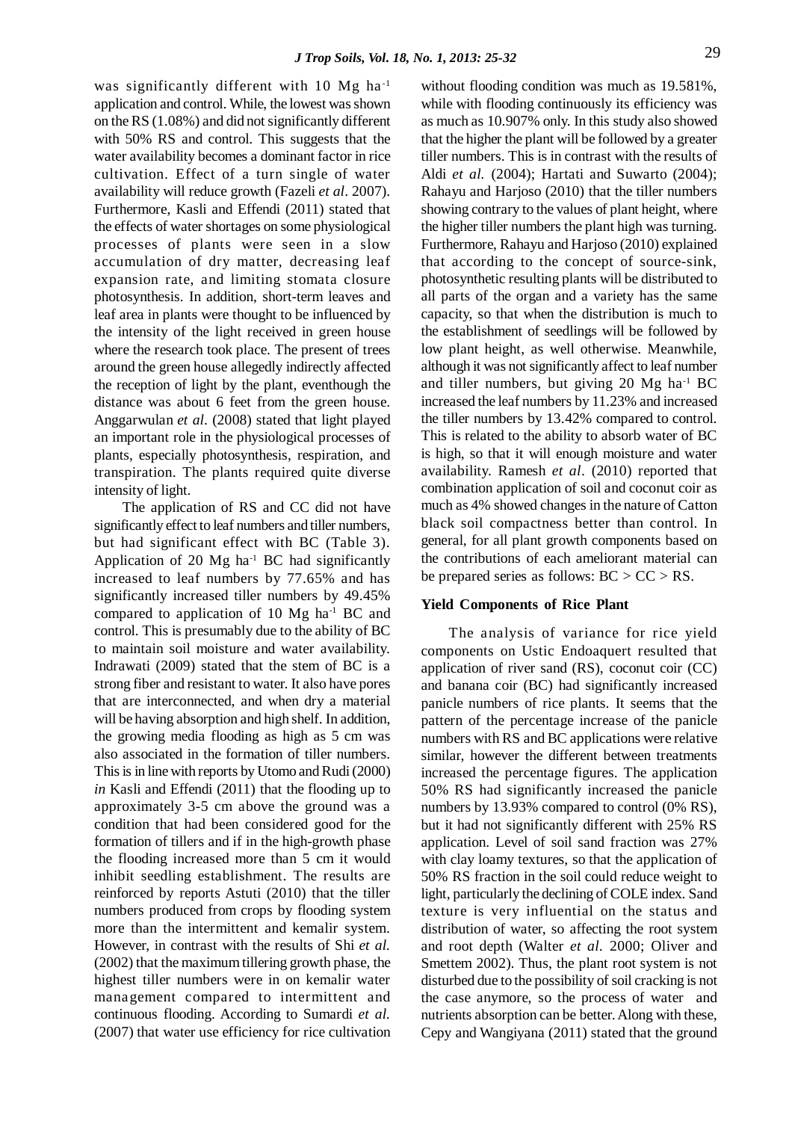was significantly different with 10 Mg ha<sup>-1</sup> application and control. While, the lowest was shown on the RS (1.08%) and did not significantly different with 50% RS and control. This suggests that the water availability becomes a dominant factor in rice cultivation. Effect of a turn single of water availability will reduce growth (Fazeli *et al*. 2007). Furthermore, Kasli and Effendi (2011) stated that the effects of water shortages on some physiological processes of plants were seen in a slow accumulation of dry matter, decreasing leaf expansion rate, and limiting stomata closure photosynthesis. In addition, short-term leaves and leaf area in plants were thought to be influenced by the intensity of the light received in green house where the research took place. The present of trees around the green house allegedly indirectly affected the reception of light by the plant, eventhough the distance was about 6 feet from the green house. Anggarwulan *et al*. (2008) stated that light played an important role in the physiological processes of plants, especially photosynthesis, respiration, and transpiration. The plants required quite diverse intensity of light.

The application of RS and CC did not have significantly effect to leaf numbers and tiller numbers, but had significant effect with BC (Table 3). Application of 20  $Mg$  ha<sup>-1</sup> BC had significantly increased to leaf numbers by 77.65% and has significantly increased tiller numbers by 49.45% compared to application of 10 Mg ha-1 BC and control. This is presumably due to the ability of BC to maintain soil moisture and water availability. Indrawati (2009) stated that the stem of BC is a strong fiber and resistant to water. It also have pores that are interconnected, and when dry a material will be having absorption and high shelf. In addition, the growing media flooding as high as 5 cm was also associated in the formation of tiller numbers. This is in line with reports by Utomo and Rudi (2000) *in* Kasli and Effendi (2011) that the flooding up to approximately 3-5 cm above the ground was a condition that had been considered good for the formation of tillers and if in the high-growth phase the flooding increased more than 5 cm it would inhibit seedling establishment. The results are reinforced by reports Astuti (2010) that the tiller numbers produced from crops by flooding system more than the intermittent and kemalir system. However, in contrast with the results of Shi *et al.* (2002) that the maximum tillering growth phase, the highest tiller numbers were in on kemalir water management compared to intermittent and continuous flooding. According to Sumardi *et al.* (2007) that water use efficiency for rice cultivation without flooding condition was much as 19.581%, while with flooding continuously its efficiency was as much as 10.907% only. In this study also showed that the higher the plant will be followed by a greater tiller numbers. This is in contrast with the results of Aldi *et al.* (2004); Hartati and Suwarto (2004); Rahayu and Harjoso (2010) that the tiller numbers showing contrary to the values of plant height, where the higher tiller numbers the plant high was turning. Furthermore, Rahayu and Harjoso (2010) explained that according to the concept of source-sink, photosynthetic resulting plants will be distributed to all parts of the organ and a variety has the same capacity, so that when the distribution is much to the establishment of seedlings will be followed by low plant height, as well otherwise. Meanwhile, although it was not significantly affect to leaf number and tiller numbers, but giving 20  $Mg$  ha<sup>-1</sup> BC increased the leaf numbers by 11.23% and increased the tiller numbers by 13.42% compared to control. This is related to the ability to absorb water of BC is high, so that it will enough moisture and water availability. Ramesh *et al*. (2010) reported that combination application of soil and coconut coir as much as 4% showed changes in the nature of Catton black soil compactness better than control. In general, for all plant growth components based on the contributions of each ameliorant material can be prepared series as follows:  $BC > CC > RS$ .

#### **Yield Components of Rice Plant**

The analysis of variance for rice yield components on Ustic Endoaquert resulted that application of river sand (RS), coconut coir (CC) and banana coir (BC) had significantly increased panicle numbers of rice plants. It seems that the pattern of the percentage increase of the panicle numbers with RS and BC applications were relative similar, however the different between treatments increased the percentage figures. The application 50% RS had significantly increased the panicle numbers by 13.93% compared to control (0% RS), but it had not significantly different with 25% RS application. Level of soil sand fraction was 27% with clay loamy textures, so that the application of 50% RS fraction in the soil could reduce weight to light, particularly the declining of COLE index. Sand texture is very influential on the status and distribution of water, so affecting the root system and root depth (Walter *et al.* 2000; Oliver and Smettem 2002). Thus, the plant root system is not disturbed due to the possibility of soil cracking is not the case anymore, so the process of water and nutrients absorption can be better. Along with these, Cepy and Wangiyana (2011) stated that the ground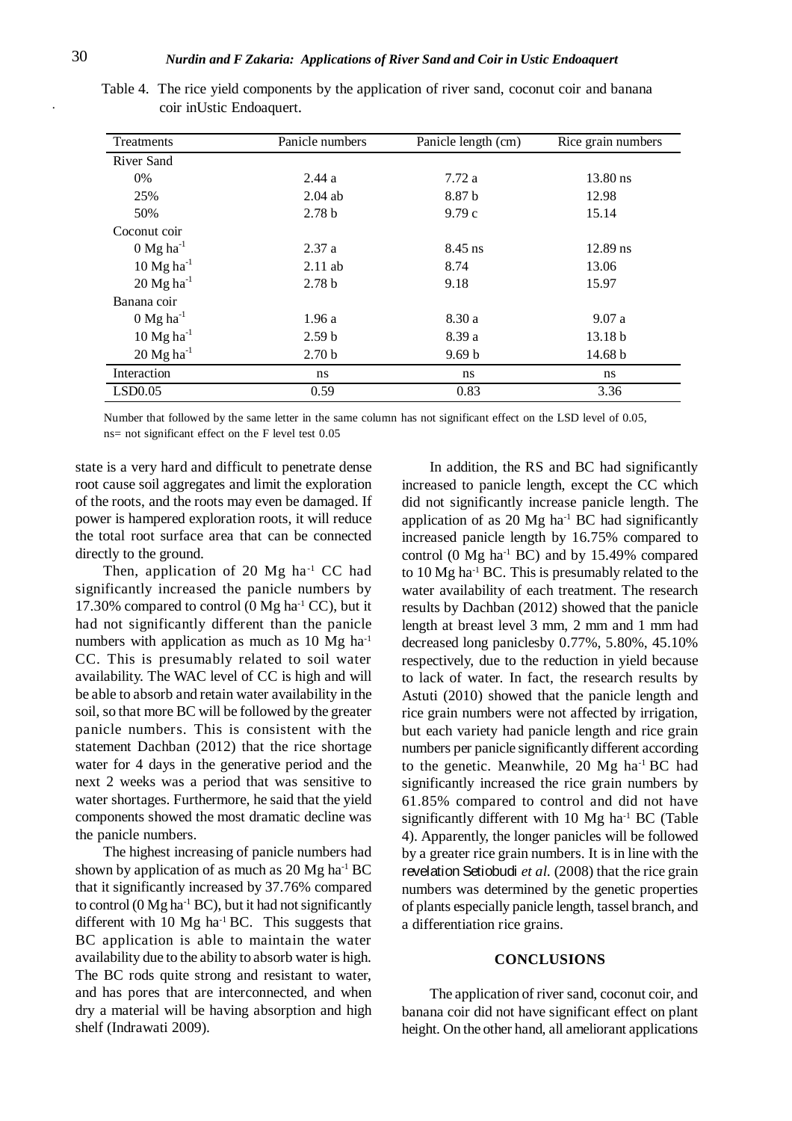| Treatments               | Panicle numbers   | Panicle length (cm) | Rice grain numbers |
|--------------------------|-------------------|---------------------|--------------------|
| River Sand               |                   |                     |                    |
| 0%                       | 2.44a             | 7.72 a              | $13.80$ ns         |
| 25%                      | $2.04$ ab         | 8.87 b              | 12.98              |
| 50%                      | 2.78 <sub>b</sub> | 9.79c               | 15.14              |
| Coconut coir             |                   |                     |                    |
| $0$ Mg ha <sup>-1</sup>  | 2.37a             | $8.45$ ns           | $12.89$ ns         |
| 10 $Mg$ ha <sup>-1</sup> | $2.11$ ab         | 8.74                | 13.06              |
| $20$ Mg ha <sup>-1</sup> | 2.78 <sub>b</sub> | 9.18                | 15.97              |
| Banana coir              |                   |                     |                    |
| $0$ Mg ha <sup>-1</sup>  | 1.96a             | 8.30 a              | 9.07a              |
| 10 $Mg$ ha <sup>-1</sup> | 2.59 <sub>b</sub> | 8.39 a              | 13.18 <sub>b</sub> |
| $20$ Mg ha <sup>-1</sup> | 2.70 <sub>b</sub> | 9.69 <sub>b</sub>   | 14.68 b            |
| Interaction              | ns                | ns                  | ns                 |
| LSD0.05                  | 0.59              | 0.83                | 3.36               |

Table 4. The rice yield components by the application of river sand, coconut coir and banana coir inUstic Endoaquert.

Number that followed by the same letter in the same column has not significant effect on the LSD level of 0.05, ns= not significant effect on the F level test 0.05

state is a very hard and difficult to penetrate dense root cause soil aggregates and limit the exploration of the roots, and the roots may even be damaged. If power is hampered exploration roots, it will reduce the total root surface area that can be connected directly to the ground.

Then, application of 20  $Mg$  ha<sup>-1</sup> CC had significantly increased the panicle numbers by 17.30% compared to control  $(0 \text{ Mg} \text{ ha}^{-1} \text{ CC})$ , but it had not significantly different than the panicle numbers with application as much as 10 Mg ha<sup>-1</sup> CC. This is presumably related to soil water availability. The WAC level of CC is high and will be able to absorb and retain water availability in the soil, so that more BC will be followed by the greater panicle numbers. This is consistent with the statement Dachban (2012) that the rice shortage water for 4 days in the generative period and the next 2 weeks was a period that was sensitive to water shortages. Furthermore, he said that the yield components showed the most dramatic decline was the panicle numbers.

The highest increasing of panicle numbers had shown by application of as much as  $20$  Mg ha<sup>-1</sup> BC that it significantly increased by 37.76% compared to control ( $0 \text{ Mg} \text{ ha}^{-1} \text{ BC}$ ), but it had not significantly different with  $10 \text{ Mg}$  ha<sup>-1</sup> BC. This suggests that BC application is able to maintain the water availability due to the ability to absorb water is high. The BC rods quite strong and resistant to water, and has pores that are interconnected, and when dry a material will be having absorption and high shelf (Indrawati 2009).

In addition, the RS and BC had significantly increased to panicle length, except the CC which did not significantly increase panicle length. The application of as  $20 \text{ Mg}$  ha<sup>-1</sup> BC had significantly increased panicle length by 16.75% compared to control (0  $Mg$  ha<sup>-1</sup> BC) and by 15.49% compared to 10 Mg ha-1 BC. This is presumably related to the water availability of each treatment. The research results by Dachban (2012) showed that the panicle length at breast level 3 mm, 2 mm and 1 mm had decreased long paniclesby 0.77%, 5.80%, 45.10% respectively, due to the reduction in yield because to lack of water. In fact, the research results by Astuti (2010) showed that the panicle length and rice grain numbers were not affected by irrigation, but each variety had panicle length and rice grain numbers per panicle significantly different according to the genetic. Meanwhile, 20 Mg ha-1 BC had significantly increased the rice grain numbers by 61.85% compared to control and did not have significantly different with 10 Mg ha<sup>-1</sup> BC (Table 4). Apparently, the longer panicles will be followed by a greater rice grain numbers. It is in line with the revelation Setiobudi *et al.* (2008) that the rice grain numbers was determined by the genetic properties of plants especially panicle length, tassel branch, and a differentiation rice grains.

#### **CONCLUSIONS**

The application of river sand, coconut coir, and banana coir did not have significant effect on plant height. On the other hand, all ameliorant applications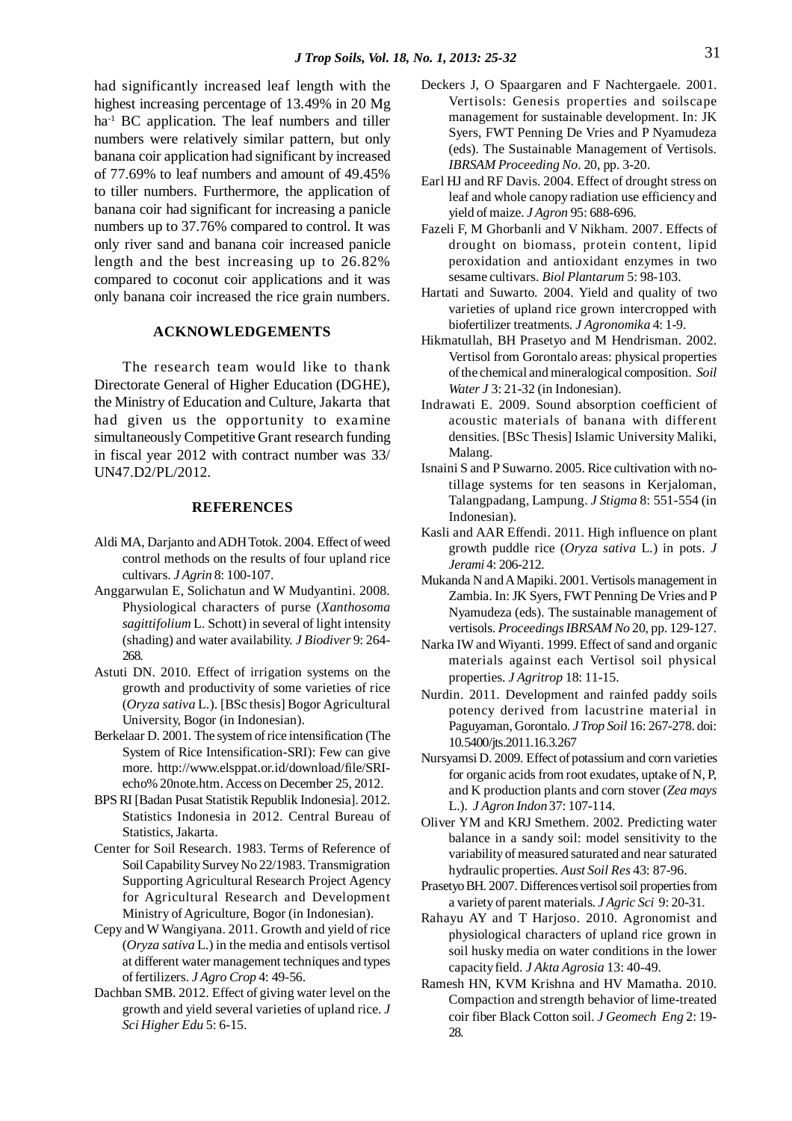had significantly increased leaf length with the highest increasing percentage of 13.49% in 20 Mg ha<sup>-1</sup> BC application. The leaf numbers and tiller numbers were relatively similar pattern, but only banana coir application had significant by increased of 77.69% to leaf numbers and amount of 49.45% to tiller numbers. Furthermore, the application of banana coir had significant for increasing a panicle numbers up to 37.76% compared to control. It was only river sand and banana coir increased panicle length and the best increasing up to 26.82% compared to coconut coir applications and it was only banana coir increased the rice grain numbers.

#### **ACKNOWLEDGEMENTS**

The research team would like to thank Directorate General of Higher Education (DGHE), the Ministry of Education and Culture, Jakarta that had given us the opportunity to examine simultaneously Competitive Grant research funding in fiscal year 2012 with contract number was 33/ UN47.D2/PL/2012.

#### **REFERENCES**

- Aldi MA, Darjanto and ADH Totok. 2004. Effect of weed control methods on the results of four upland rice cultivars. *J Agrin* 8: 100-107.
- Anggarwulan E, Solichatun and W Mudyantini. 2008. Physiological characters of purse (*Xanthosoma sagittifolium* L. Schott) in several of light intensity (shading) and water availability. *J Biodiver* 9: 264- 268.
- Astuti DN. 2010. Effect of irrigation systems on the growth and productivity of some varieties of rice (*Oryza sativa* L.). [BSc thesis] Bogor Agricultural University, Bogor (in Indonesian).
- Berkelaar D. 2001. The system of rice intensification (The System of Rice Intensification-SRI): Few can give more. http://www.elsppat.or.id/download/file/SRIecho% 20note.htm. Access on December 25, 2012.
- BPS RI [Badan Pusat Statistik Republik Indonesia]. 2012. Statistics Indonesia in 2012. Central Bureau of Statistics, Jakarta.
- Center for Soil Research. 1983. Terms of Reference of Soil Capability Survey No 22/1983. Transmigration Supporting Agricultural Research Project Agency for Agricultural Research and Development Ministry of Agriculture, Bogor (in Indonesian).
- Cepy and W Wangiyana. 2011. Growth and yield of rice (*Oryza sativa* L.) in the media and entisols vertisol at different water management techniques and types of fertilizers. *J Agro Crop* 4: 49-56.
- Dachban SMB. 2012. Effect of giving water level on the growth and yield several varieties of upland rice. *J Sci Higher Edu* 5: 6-15.
- Deckers J, O Spaargaren and F Nachtergaele. 2001. Vertisols: Genesis properties and soilscape management for sustainable development. In: JK Syers, FWT Penning De Vries and P Nyamudeza (eds). The Sustainable Management of Vertisols. *IBRSAM Proceeding No*. 20, pp. 3-20.
- Earl HJ and RF Davis. 2004. Effect of drought stress on leaf and whole canopy radiation use efficiency and yield of maize. *J Agron* 95: 688-696.
- Fazeli F, M Ghorbanli and V Nikham. 2007. Effects of drought on biomass, protein content, lipid peroxidation and antioxidant enzymes in two sesame cultivars. *Biol Plantarum* 5: 98-103.
- Hartati and Suwarto. 2004. Yield and quality of two varieties of upland rice grown intercropped with biofertilizer treatments. *J Agronomika* 4: 1-9.
- Hikmatullah, BH Prasetyo and M Hendrisman. 2002. Vertisol from Gorontalo areas: physical properties of the chemical and mineralogical composition. *Soil Water J* 3: 21-32 (in Indonesian).
- Indrawati E. 2009. Sound absorption coefficient of acoustic materials of banana with different densities. [BSc Thesis] Islamic University Maliki, Malang.
- Isnaini S and P Suwarno. 2005. Rice cultivation with notillage systems for ten seasons in Kerjaloman, Talangpadang, Lampung. *J Stigma* 8: 551-554 (in Indonesian).
- Kasli and AAR Effendi. 2011. High influence on plant growth puddle rice (*Oryza sativa* L.) in pots. *J Jerami* 4: 206-212.
- Mukanda N and A Mapiki. 2001. Vertisols management in Zambia. In: JK Syers, FWT Penning De Vries and P Nyamudeza (eds). The sustainable management of vertisols. *ProceedingsIBRSAM No* 20, pp. 129-127.
- Narka IW and Wiyanti. 1999. Effect of sand and organic materials against each Vertisol soil physical properties. *J Agritrop* 18: 11-15.
- Nurdin. 2011. Development and rainfed paddy soils potency derived from lacustrine material in Paguyaman, Gorontalo. *J Trop Soil* 16: 267-278. doi: 10.5400/jts.2011.16.3.267
- Nursyamsi D. 2009. Effect of potassium and corn varieties for organic acids from root exudates, uptake of N, P, and K production plants and corn stover (*Zea mays* L.). *J Agron Indon* 37: 107-114.
- Oliver YM and KRJ Smethem. 2002. Predicting water balance in a sandy soil: model sensitivity to the variability of measured saturated and near saturated hydraulic properties. *Aust Soil Res* 43: 87-96.
- Prasetyo BH. 2007. Differences vertisol soil properties from a variety of parent materials. *J Agric Sci* 9: 20-31.
- Rahayu AY and T Harjoso. 2010. Agronomist and physiological characters of upland rice grown in soil husky media on water conditions in the lower capacity field. *J Akta Agrosia* 13: 40-49.
- Ramesh HN, KVM Krishna and HV Mamatha. 2010. Compaction and strength behavior of lime-treated coir fiber Black Cotton soil. *J Geomech Eng* 2: 19- 28.